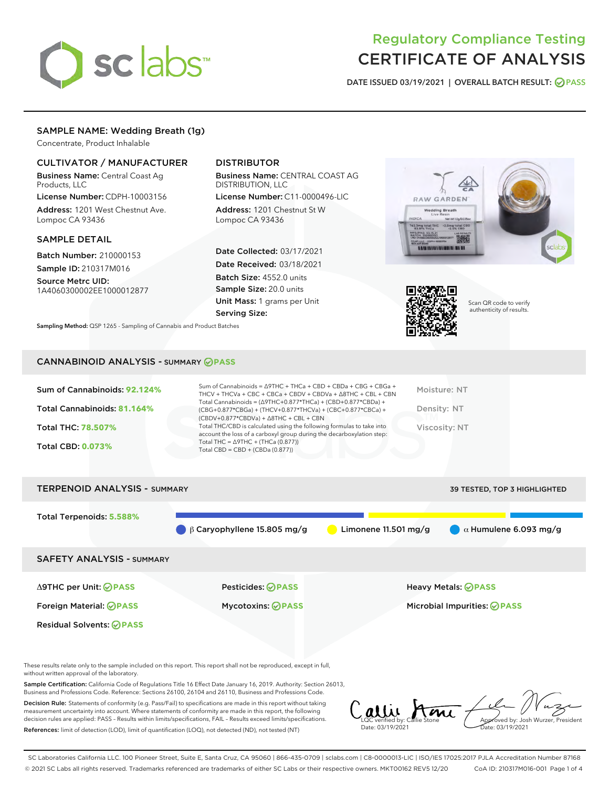

# Regulatory Compliance Testing CERTIFICATE OF ANALYSIS

DATE ISSUED 03/19/2021 | OVERALL BATCH RESULT: @ PASS

# SAMPLE NAME: Wedding Breath (1g)

Concentrate, Product Inhalable

# CULTIVATOR / MANUFACTURER

Business Name: Central Coast Ag Products, LLC

License Number: CDPH-10003156 Address: 1201 West Chestnut Ave. Lompoc CA 93436

#### SAMPLE DETAIL

Batch Number: 210000153 Sample ID: 210317M016

Source Metrc UID: 1A4060300002EE1000012877

# DISTRIBUTOR

Business Name: CENTRAL COAST AG DISTRIBUTION, LLC

License Number: C11-0000496-LIC Address: 1201 Chestnut St W Lompoc CA 93436

Date Collected: 03/17/2021 Date Received: 03/18/2021 Batch Size: 4552.0 units Sample Size: 20.0 units Unit Mass: 1 grams per Unit Serving Size:





Scan QR code to verify authenticity of results.

## CANNABINOID ANALYSIS - SUMMARY **PASS**

Sampling Method: QSP 1265 - Sampling of Cannabis and Product Batches

| Sum of Cannabinoids: 92.124%<br>Total Cannabinoids: 81.164%<br>Total THC: 78.507%<br><b>Total CBD: 0.073%</b> | Sum of Cannabinoids = $\triangle$ 9THC + THCa + CBD + CBDa + CBG + CBGa +<br>THCV + THCVa + CBC + CBCa + CBDV + CBDVa + $\land$ 8THC + CBL + CBN<br>Total Cannabinoids = $(\Delta$ 9THC+0.877*THCa) + (CBD+0.877*CBDa) +<br>$(CBG+0.877*CBGa) + (THCV+0.877*THCVa) + (CBC+0.877*CBCa) +$<br>$(CBDV+0.877*CBDVa) + \Delta 8THC + CBL + CBN$<br>Total THC/CBD is calculated using the following formulas to take into<br>account the loss of a carboxyl group during the decarboxylation step:<br>Total THC = $\triangle$ 9THC + (THCa (0.877))<br>Total CBD = $CBD + (CBDa (0.877))$ | Moisture: NT<br>Density: NT<br>Viscosity: NT |
|---------------------------------------------------------------------------------------------------------------|-------------------------------------------------------------------------------------------------------------------------------------------------------------------------------------------------------------------------------------------------------------------------------------------------------------------------------------------------------------------------------------------------------------------------------------------------------------------------------------------------------------------------------------------------------------------------------------|----------------------------------------------|
| <b>TERPENOID ANALYSIS - SUMMARY</b>                                                                           |                                                                                                                                                                                                                                                                                                                                                                                                                                                                                                                                                                                     | <b>39 TESTED, TOP 3 HIGHLIGHTED</b>          |
|                                                                                                               |                                                                                                                                                                                                                                                                                                                                                                                                                                                                                                                                                                                     |                                              |

Total Terpenoids: **5.588% S** β Caryophyllene 15.805 mg/g **b** Limonene 11.501 mg/g  $\alpha$  Humulene 6.093 mg/g SAFETY ANALYSIS - SUMMARY Δ9THC per Unit: **PASS** Pesticides: **PASS** Heavy Metals: **PASS** Foreign Material: **PASS** Mycotoxins: **PASS** Microbial Impurities: **PASS** Residual Solvents: **PASS** 

These results relate only to the sample included on this report. This report shall not be reproduced, except in full, without written approval of the laboratory.

Sample Certification: California Code of Regulations Title 16 Effect Date January 16, 2019. Authority: Section 26013, Business and Professions Code. Reference: Sections 26100, 26104 and 26110, Business and Professions Code.

Decision Rule: Statements of conformity (e.g. Pass/Fail) to specifications are made in this report without taking measurement uncertainty into account. Where statements of conformity are made in this report, the following decision rules are applied: PASS – Results within limits/specifications, FAIL – Results exceed limits/specifications. References: limit of detection (LOD), limit of quantification (LOQ), not detected (ND), not tested (NT)

Callie Ame Date: 03/19/2021 Approved by: Josh Wurzer, President ite: 03/19/2021

SC Laboratories California LLC. 100 Pioneer Street, Suite E, Santa Cruz, CA 95060 | 866-435-0709 | sclabs.com | C8-0000013-LIC | ISO/IES 17025:2017 PJLA Accreditation Number 87168 © 2021 SC Labs all rights reserved. Trademarks referenced are trademarks of either SC Labs or their respective owners. MKT00162 REV5 12/20 CoA ID: 210317M016-001 Page 1 of 4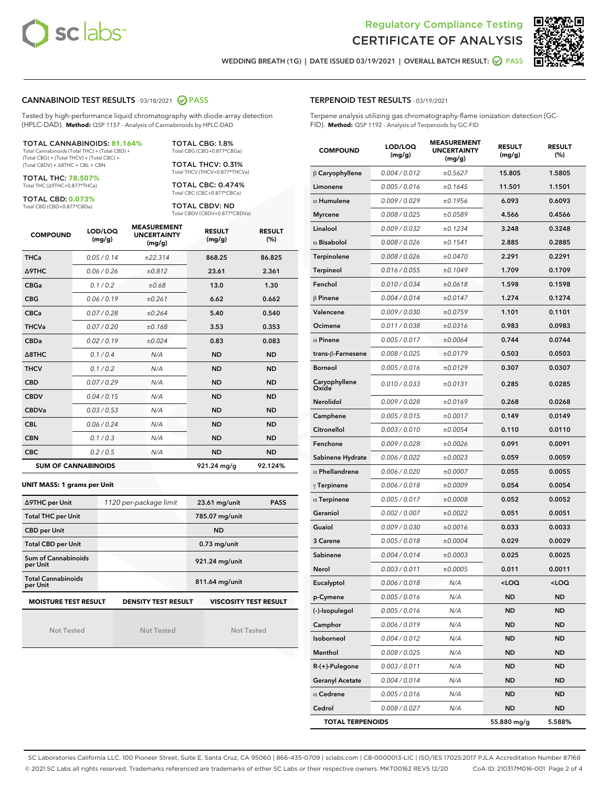



WEDDING BREATH (1G) | DATE ISSUED 03/19/2021 | OVERALL BATCH RESULT:  $\bigcirc$  PASS

# CANNABINOID TEST RESULTS - 03/18/2021 2 PASS

Tested by high-performance liquid chromatography with diode-array detection (HPLC-DAD). **Method:** QSP 1157 - Analysis of Cannabinoids by HPLC-DAD

#### TOTAL CANNABINOIDS: **81.164%**

Total Cannabinoids (Total THC) + (Total CBD) + (Total CBG) + (Total THCV) + (Total CBC) + (Total CBDV) + ∆8THC + CBL + CBN

TOTAL THC: **78.507%** Total THC (∆9THC+0.877\*THCa)

TOTAL CBD: **0.073%**

Total CBD (CBD+0.877\*CBDa)

TOTAL CBG: 1.8% Total CBG (CBG+0.877\*CBGa)

TOTAL THCV: 0.31% Total THCV (THCV+0.877\*THCVa)

TOTAL CBC: 0.474% Total CBC (CBC+0.877\*CBCa)

TOTAL CBDV: ND Total CBDV (CBDV+0.877\*CBDVa)

| <b>COMPOUND</b>  | LOD/LOQ<br>(mg/g)          | <b>MEASUREMENT</b><br><b>UNCERTAINTY</b><br>(mg/g) | <b>RESULT</b><br>(mg/g) | <b>RESULT</b><br>(%) |
|------------------|----------------------------|----------------------------------------------------|-------------------------|----------------------|
| <b>THCa</b>      | 0.05/0.14                  | ±22.314                                            | 868.25                  | 86.825               |
| <b>A9THC</b>     | 0.06 / 0.26                | ±0.812                                             | 23.61                   | 2.361                |
| <b>CBGa</b>      | 0.1 / 0.2                  | ±0.68                                              | 13.0                    | 1.30                 |
| <b>CBG</b>       | 0.06/0.19                  | ±0.261                                             | 6.62                    | 0.662                |
| <b>CBCa</b>      | 0.07/0.28                  | ±0.264                                             | 5.40                    | 0.540                |
| <b>THCVa</b>     | 0.07/0.20                  | ±0.168                                             | 3.53                    | 0.353                |
| <b>CBDa</b>      | 0.02/0.19                  | ±0.024                                             | 0.83                    | 0.083                |
| $\triangle$ 8THC | 0.1/0.4                    | N/A                                                | <b>ND</b>               | <b>ND</b>            |
| <b>THCV</b>      | 0.1 / 0.2                  | N/A                                                | <b>ND</b>               | <b>ND</b>            |
| <b>CBD</b>       | 0.07/0.29                  | N/A                                                | <b>ND</b>               | <b>ND</b>            |
| <b>CBDV</b>      | 0.04 / 0.15                | N/A                                                | <b>ND</b>               | <b>ND</b>            |
| <b>CBDVa</b>     | 0.03 / 0.53                | N/A                                                | <b>ND</b>               | <b>ND</b>            |
| <b>CBL</b>       | 0.06 / 0.24                | N/A                                                | <b>ND</b>               | <b>ND</b>            |
| <b>CBN</b>       | 0.1/0.3                    | N/A                                                | <b>ND</b>               | <b>ND</b>            |
| <b>CBC</b>       | 0.2 / 0.5                  | N/A                                                | <b>ND</b>               | <b>ND</b>            |
|                  | <b>SUM OF CANNABINOIDS</b> |                                                    | 921.24 mg/g             | 92.124%              |

#### **UNIT MASS: 1 grams per Unit**

| ∆9THC per Unit                        | 1120 per-package limit | <b>PASS</b><br>$23.61$ mg/unit |
|---------------------------------------|------------------------|--------------------------------|
| <b>Total THC per Unit</b>             |                        | 785.07 mg/unit                 |
| <b>CBD per Unit</b>                   |                        | <b>ND</b>                      |
| <b>Total CBD per Unit</b>             |                        | $0.73$ mg/unit                 |
| Sum of Cannabinoids<br>per Unit       |                        | 921.24 mg/unit                 |
| <b>Total Cannabinoids</b><br>per Unit |                        | 811.64 mg/unit                 |
| <b>MOISTURE TEST RESULT</b>           | DENSITY TEST RESULT    | <b>VISCOSITY TEST RESULT</b>   |

Not Tested

Not Tested

Not Tested

TERPENOID TEST RESULTS - 03/19/2021

Terpene analysis utilizing gas chromatography-flame ionization detection (GC-FID). **Method:** QSP 1192 - Analysis of Terpenoids by GC-FID

| <b>COMPOUND</b>         | LOD/LOQ<br>(mg/g) | <b>MEASUREMENT</b><br><b>UNCERTAINTY</b><br>(mg/g) | <b>RESULT</b><br>(mg/g)                         | <b>RESULT</b><br>$(\%)$ |
|-------------------------|-------------------|----------------------------------------------------|-------------------------------------------------|-------------------------|
| $\beta$ Caryophyllene   | 0.004 / 0.012     | ±0.5627                                            | 15.805                                          | 1.5805                  |
| Limonene                | 0.005 / 0.016     | ±0.1645                                            | 11.501                                          | 1.1501                  |
| $\alpha$ Humulene       | 0.009/0.029       | ±0.1956                                            | 6.093                                           | 0.6093                  |
| <b>Myrcene</b>          | 0.008 / 0.025     | ±0.0589                                            | 4.566                                           | 0.4566                  |
| Linalool                | 0.009 / 0.032     | ±0.1234                                            | 3.248                                           | 0.3248                  |
| $\alpha$ Bisabolol      | 0.008 / 0.026     | ±0.1541                                            | 2.885                                           | 0.2885                  |
| Terpinolene             | 0.008 / 0.026     | ±0.0470                                            | 2.291                                           | 0.2291                  |
| Terpineol               | 0.016 / 0.055     | ±0.1049                                            | 1.709                                           | 0.1709                  |
| Fenchol                 | 0.010 / 0.034     | ±0.0618                                            | 1.598                                           | 0.1598                  |
| $\beta$ Pinene          | 0.004 / 0.014     | ±0.0147                                            | 1.274                                           | 0.1274                  |
| Valencene               | 0.009 / 0.030     | ±0.0759                                            | 1.101                                           | 0.1101                  |
| Ocimene                 | 0.011 / 0.038     | ±0.0316                                            | 0.983                                           | 0.0983                  |
| $\alpha$ Pinene         | 0.005 / 0.017     | ±0.0064                                            | 0.744                                           | 0.0744                  |
| trans-β-Farnesene       | 0.008 / 0.025     | ±0.0179                                            | 0.503                                           | 0.0503                  |
| <b>Borneol</b>          | 0.005 / 0.016     | ±0.0129                                            | 0.307                                           | 0.0307                  |
| Caryophyllene<br>Oxide  | 0.010 / 0.033     | ±0.0131                                            | 0.285                                           | 0.0285                  |
| <b>Nerolidol</b>        | 0.009 / 0.028     | ±0.0169                                            | 0.268                                           | 0.0268                  |
| Camphene                | 0.005 / 0.015     | ±0.0017                                            | 0.149                                           | 0.0149                  |
| Citronellol             | 0.003 / 0.010     | ±0.0054                                            | 0.110                                           | 0.0110                  |
| Fenchone                | 0.009 / 0.028     | ±0.0026                                            | 0.091                                           | 0.0091                  |
| Sabinene Hydrate        | 0.006 / 0.022     | ±0.0023                                            | 0.059                                           | 0.0059                  |
| $\alpha$ Phellandrene   | 0.006 / 0.020     | ±0.0007                                            | 0.055                                           | 0.0055                  |
| $\gamma$ Terpinene      | 0.006 / 0.018     | ±0.0009                                            | 0.054                                           | 0.0054                  |
| $\alpha$ Terpinene      | 0.005 / 0.017     | ±0.0008                                            | 0.052                                           | 0.0052                  |
| Geraniol                | 0.002 / 0.007     | ±0.0022                                            | 0.051                                           | 0.0051                  |
| Guaiol                  | 0.009 / 0.030     | ±0.0016                                            | 0.033                                           | 0.0033                  |
| 3 Carene                | 0.005 / 0.018     | ±0.0004                                            | 0.029                                           | 0.0029                  |
| Sabinene                | 0.004 / 0.014     | ±0.0003                                            | 0.025                                           | 0.0025                  |
| Nerol                   | 0.003 / 0.011     | ±0.0005                                            | 0.011                                           | 0.0011                  |
| Eucalyptol              | 0.006 / 0.018     | N/A                                                | <loq< th=""><th><loq< th=""></loq<></th></loq<> | <loq< th=""></loq<>     |
| p-Cymene                | 0.005 / 0.016     | N/A                                                | ND                                              | ND                      |
| (-)-Isopulegol          | 0.005 / 0.016     | N/A                                                | ND                                              | ND                      |
| Camphor                 | 0.006 / 0.019     | N/A                                                | ND                                              | ND                      |
| Isoborneol              | 0.004 / 0.012     | N/A                                                | ND                                              | ND                      |
| Menthol                 | 0.008 / 0.025     | N/A                                                | ND                                              | ND                      |
| R-(+)-Pulegone          | 0.003 / 0.011     | N/A                                                | ND                                              | ND                      |
| <b>Geranyl Acetate</b>  | 0.004 / 0.014     | N/A                                                | ND                                              | ND                      |
| $\alpha$ Cedrene        | 0.005 / 0.016     | N/A                                                | ND                                              | ND                      |
| Cedrol                  | 0.008 / 0.027     | N/A                                                | ND                                              | ND                      |
| <b>TOTAL TERPENOIDS</b> |                   |                                                    | 55.880 mg/g                                     | 5.588%                  |

SC Laboratories California LLC. 100 Pioneer Street, Suite E, Santa Cruz, CA 95060 | 866-435-0709 | sclabs.com | C8-0000013-LIC | ISO/IES 17025:2017 PJLA Accreditation Number 87168 © 2021 SC Labs all rights reserved. Trademarks referenced are trademarks of either SC Labs or their respective owners. MKT00162 REV5 12/20 CoA ID: 210317M016-001 Page 2 of 4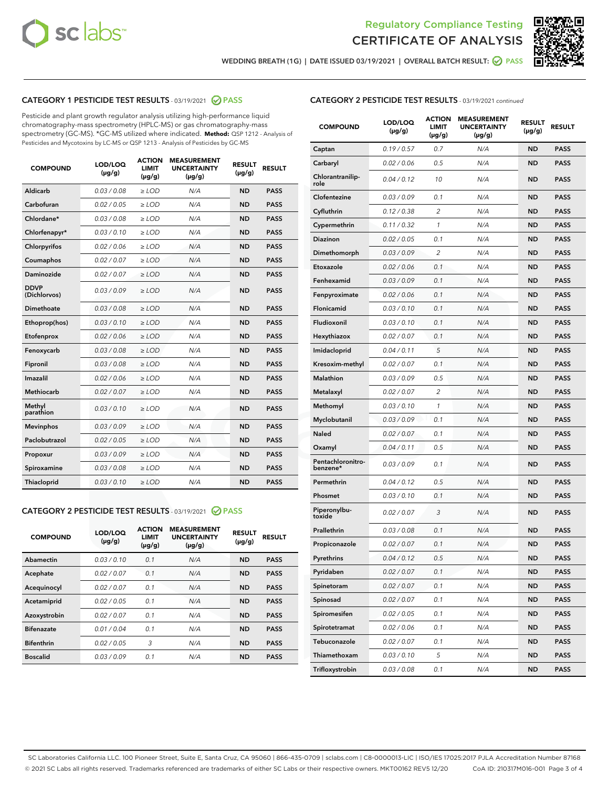



WEDDING BREATH (1G) | DATE ISSUED 03/19/2021 | OVERALL BATCH RESULT: @ PASS

# CATEGORY 1 PESTICIDE TEST RESULTS - 03/19/2021 @ PASS

Pesticide and plant growth regulator analysis utilizing high-performance liquid chromatography-mass spectrometry (HPLC-MS) or gas chromatography-mass spectrometry (GC-MS). \*GC-MS utilized where indicated. **Method:** QSP 1212 - Analysis of Pesticides and Mycotoxins by LC-MS or QSP 1213 - Analysis of Pesticides by GC-MS

| <b>COMPOUND</b>             | LOD/LOQ<br>$(\mu g/g)$ | <b>ACTION</b><br><b>LIMIT</b><br>$(\mu g/g)$ | <b>MEASUREMENT</b><br><b>UNCERTAINTY</b><br>$(\mu g/g)$ | <b>RESULT</b><br>$(\mu g/g)$ | <b>RESULT</b> |
|-----------------------------|------------------------|----------------------------------------------|---------------------------------------------------------|------------------------------|---------------|
| Aldicarb                    | 0.03/0.08              | $\ge$ LOD                                    | N/A                                                     | <b>ND</b>                    | <b>PASS</b>   |
| Carbofuran                  | 0.02 / 0.05            | $\ge$ LOD                                    | N/A                                                     | <b>ND</b>                    | <b>PASS</b>   |
| Chlordane*                  | 0.03 / 0.08            | $\ge$ LOD                                    | N/A                                                     | <b>ND</b>                    | <b>PASS</b>   |
| Chlorfenapyr*               | 0.03/0.10              | $\ge$ LOD                                    | N/A                                                     | <b>ND</b>                    | <b>PASS</b>   |
| Chlorpyrifos                | 0.02 / 0.06            | $\ge$ LOD                                    | N/A                                                     | <b>ND</b>                    | <b>PASS</b>   |
| Coumaphos                   | 0.02 / 0.07            | $\ge$ LOD                                    | N/A                                                     | <b>ND</b>                    | <b>PASS</b>   |
| Daminozide                  | 0.02 / 0.07            | $\ge$ LOD                                    | N/A                                                     | <b>ND</b>                    | <b>PASS</b>   |
| <b>DDVP</b><br>(Dichlorvos) | 0.03/0.09              | $>$ LOD                                      | N/A                                                     | <b>ND</b>                    | <b>PASS</b>   |
| Dimethoate                  | 0.03 / 0.08            | $\ge$ LOD                                    | N/A                                                     | <b>ND</b>                    | <b>PASS</b>   |
| Ethoprop(hos)               | 0.03/0.10              | $\ge$ LOD                                    | N/A                                                     | <b>ND</b>                    | <b>PASS</b>   |
| Etofenprox                  | 0.02/0.06              | $>$ LOD                                      | N/A                                                     | <b>ND</b>                    | <b>PASS</b>   |
| Fenoxycarb                  | 0.03 / 0.08            | $\ge$ LOD                                    | N/A                                                     | <b>ND</b>                    | <b>PASS</b>   |
| Fipronil                    | 0.03/0.08              | $>$ LOD                                      | N/A                                                     | <b>ND</b>                    | <b>PASS</b>   |
| Imazalil                    | 0.02 / 0.06            | $\ge$ LOD                                    | N/A                                                     | <b>ND</b>                    | <b>PASS</b>   |
| Methiocarb                  | 0.02 / 0.07            | $\ge$ LOD                                    | N/A                                                     | <b>ND</b>                    | <b>PASS</b>   |
| Methyl<br>parathion         | 0.03/0.10              | $>$ LOD                                      | N/A                                                     | <b>ND</b>                    | <b>PASS</b>   |
| <b>Mevinphos</b>            | 0.03/0.09              | $>$ LOD                                      | N/A                                                     | <b>ND</b>                    | <b>PASS</b>   |
| Paclobutrazol               | 0.02 / 0.05            | $\ge$ LOD                                    | N/A                                                     | <b>ND</b>                    | <b>PASS</b>   |
| Propoxur                    | 0.03/0.09              | $\ge$ LOD                                    | N/A                                                     | <b>ND</b>                    | <b>PASS</b>   |
| Spiroxamine                 | 0.03 / 0.08            | $\ge$ LOD                                    | N/A                                                     | <b>ND</b>                    | <b>PASS</b>   |
| Thiacloprid                 | 0.03/0.10              | $\ge$ LOD                                    | N/A                                                     | <b>ND</b>                    | <b>PASS</b>   |

#### CATEGORY 2 PESTICIDE TEST RESULTS - 03/19/2021 @ PASS

| <b>COMPOUND</b>   | LOD/LOQ<br>$(\mu g/g)$ | <b>ACTION</b><br><b>LIMIT</b><br>$(\mu g/g)$ | <b>MEASUREMENT</b><br><b>UNCERTAINTY</b><br>$(\mu g/g)$ | <b>RESULT</b><br>$(\mu g/g)$ | <b>RESULT</b> |
|-------------------|------------------------|----------------------------------------------|---------------------------------------------------------|------------------------------|---------------|
| Abamectin         | 0.03/0.10              | 0.1                                          | N/A                                                     | <b>ND</b>                    | <b>PASS</b>   |
| Acephate          | 0.02/0.07              | 0.1                                          | N/A                                                     | <b>ND</b>                    | <b>PASS</b>   |
| Acequinocyl       | 0.02/0.07              | 0.1                                          | N/A                                                     | <b>ND</b>                    | <b>PASS</b>   |
| Acetamiprid       | 0.02/0.05              | 0.1                                          | N/A                                                     | <b>ND</b>                    | <b>PASS</b>   |
| Azoxystrobin      | 0.02/0.07              | 0.1                                          | N/A                                                     | <b>ND</b>                    | <b>PASS</b>   |
| <b>Bifenazate</b> | 0.01/0.04              | 0.1                                          | N/A                                                     | <b>ND</b>                    | <b>PASS</b>   |
| <b>Bifenthrin</b> | 0.02/0.05              | 3                                            | N/A                                                     | <b>ND</b>                    | <b>PASS</b>   |
| <b>Boscalid</b>   | 0.03/0.09              | 0.1                                          | N/A                                                     | <b>ND</b>                    | <b>PASS</b>   |

# CATEGORY 2 PESTICIDE TEST RESULTS - 03/19/2021 continued

| <b>COMPOUND</b>               | <b>LOD/LOQ</b><br>$(\mu g/g)$ | <b>ACTION</b><br>LIMIT<br>$(\mu g/g)$ | <b>MEASUREMENT</b><br><b>UNCERTAINTY</b><br>(µg/g) | <b>RESULT</b><br>(µg/g) | <b>RESULT</b> |
|-------------------------------|-------------------------------|---------------------------------------|----------------------------------------------------|-------------------------|---------------|
| Captan                        | 0.19/0.57                     | 0.7                                   | N/A                                                | <b>ND</b>               | <b>PASS</b>   |
| Carbaryl                      | 0.02 / 0.06                   | 0.5                                   | N/A                                                | ND                      | <b>PASS</b>   |
| Chlorantranilip-<br>role      | 0.04 / 0.12                   | 10                                    | N/A                                                | <b>ND</b>               | <b>PASS</b>   |
| Clofentezine                  | 0.03 / 0.09                   | 0.1                                   | N/A                                                | ND                      | <b>PASS</b>   |
| Cyfluthrin                    | 0.12 / 0.38                   | $\overline{2}$                        | N/A                                                | ND                      | <b>PASS</b>   |
| Cypermethrin                  | 0.11 / 0.32                   | 1                                     | N/A                                                | ND                      | <b>PASS</b>   |
| <b>Diazinon</b>               | 0.02 / 0.05                   | 0.1                                   | N/A                                                | ND                      | <b>PASS</b>   |
| Dimethomorph                  | 0.03 / 0.09                   | 2                                     | N/A                                                | <b>ND</b>               | <b>PASS</b>   |
| Etoxazole                     | 0.02 / 0.06                   | 0.1                                   | N/A                                                | ND                      | <b>PASS</b>   |
| Fenhexamid                    | 0.03 / 0.09                   | 0.1                                   | N/A                                                | ND                      | <b>PASS</b>   |
| Fenpyroximate                 | 0.02 / 0.06                   | 0.1                                   | N/A                                                | <b>ND</b>               | <b>PASS</b>   |
| Flonicamid                    | 0.03 / 0.10                   | 0.1                                   | N/A                                                | ND                      | <b>PASS</b>   |
| Fludioxonil                   | 0.03/0.10                     | 0.1                                   | N/A                                                | ND                      | <b>PASS</b>   |
| Hexythiazox                   | 0.02 / 0.07                   | 0.1                                   | N/A                                                | <b>ND</b>               | <b>PASS</b>   |
| Imidacloprid                  | 0.04 / 0.11                   | 5                                     | N/A                                                | ND                      | <b>PASS</b>   |
| Kresoxim-methyl               | 0.02 / 0.07                   | 0.1                                   | N/A                                                | ND                      | <b>PASS</b>   |
| <b>Malathion</b>              | 0.03 / 0.09                   | 0.5                                   | N/A                                                | ND                      | <b>PASS</b>   |
| Metalaxyl                     | 0.02 / 0.07                   | 2                                     | N/A                                                | ND                      | <b>PASS</b>   |
| Methomyl                      | 0.03 / 0.10                   | 1                                     | N/A                                                | ND                      | <b>PASS</b>   |
| Myclobutanil                  | 0.03 / 0.09                   | 0.1                                   | N/A                                                | <b>ND</b>               | <b>PASS</b>   |
| <b>Naled</b>                  | 0.02 / 0.07                   | 0.1                                   | N/A                                                | ND                      | <b>PASS</b>   |
| Oxamyl                        | 0.04 / 0.11                   | 0.5                                   | N/A                                                | ND                      | <b>PASS</b>   |
| Pentachloronitro-<br>benzene* | 0.03 / 0.09                   | 0.1                                   | N/A                                                | ND                      | <b>PASS</b>   |
| Permethrin                    | 0.04 / 0.12                   | 0.5                                   | N/A                                                | ND                      | <b>PASS</b>   |
| Phosmet                       | 0.03 / 0.10                   | 0.1                                   | N/A                                                | ND                      | <b>PASS</b>   |
| Piperonylbu-<br>toxide        | 0.02 / 0.07                   | 3                                     | N/A                                                | <b>ND</b>               | <b>PASS</b>   |
| Prallethrin                   | 0.03 / 0.08                   | 0.1                                   | N/A                                                | <b>ND</b>               | <b>PASS</b>   |
| Propiconazole                 | 0.02 / 0.07                   | 0.1                                   | N/A                                                | <b>ND</b>               | <b>PASS</b>   |
| Pyrethrins                    | 0.04 / 0.12                   | 0.5                                   | N/A                                                | ND                      | PASS          |
| Pyridaben                     | 0.02 / 0.07                   | 0.1                                   | N/A                                                | <b>ND</b>               | <b>PASS</b>   |
| Spinetoram                    | 0.02 / 0.07                   | 0.1                                   | N/A                                                | <b>ND</b>               | <b>PASS</b>   |
| Spinosad                      | 0.02 / 0.07                   | 0.1                                   | N/A                                                | ND                      | <b>PASS</b>   |
| Spiromesifen                  | 0.02 / 0.05                   | 0.1                                   | N/A                                                | <b>ND</b>               | <b>PASS</b>   |
| Spirotetramat                 | 0.02 / 0.06                   | 0.1                                   | N/A                                                | <b>ND</b>               | <b>PASS</b>   |
| Tebuconazole                  | 0.02 / 0.07                   | 0.1                                   | N/A                                                | ND                      | <b>PASS</b>   |
| Thiamethoxam                  | 0.03 / 0.10                   | 5                                     | N/A                                                | <b>ND</b>               | <b>PASS</b>   |
| Trifloxystrobin               | 0.03 / 0.08                   | 0.1                                   | N/A                                                | <b>ND</b>               | <b>PASS</b>   |